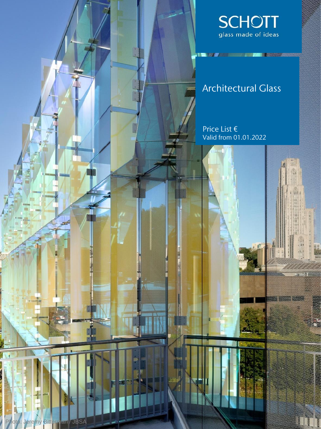

**THE VALUE OF STATISTICS IN A VALUE OF STATISTICS** 

### Architectural Glass

Price List € Valid from 01.01.2022

辅

Photo: Jeremy Bitterman / JBSA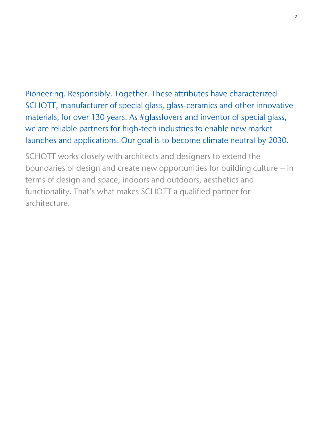Pioneering. Responsibly. Together. These attributes have characterized SCHOTT, manufacturer of special glass, glass-ceramics and other innovative materials, for over 130 years. As #glasslovers and inventor of special glass, we are reliable partners for high-tech industries to enable new market launches and applications. Our goal is to become climate neutral by 2030.

SCHOTT works closely with architects and designers to extend the boundaries of design and create new opportunities for building culture – in terms of design and space, indoors and outdoors, aesthetics and functionality. That's what makes SCHOTT a qualified partner for architecture.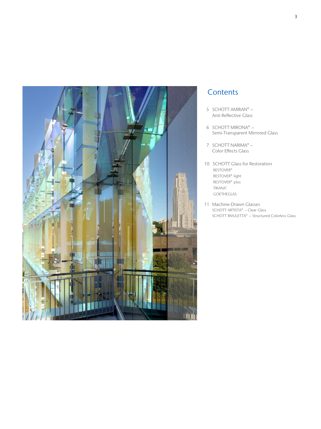

### **Contents**

- 5 SCHOTT AMIRAN® Anti-Reflective Glass
- 6 SCHOTT MIRONA® Semi-Transparent Mirrored Glass
- 7 SCHOTT NARIMA® Color Effects Glass
- 10 SCHOTT Glass for Restoration RESTOVER® RESTOVER® light RESTOVER® plus TIKANA® GOETHEGLAS
- 11 Machine-Drawn Glasses SCHOTT ARTISTA® – Clear Glass SCHOTT RIVULETTA® – Structured Colorless Glass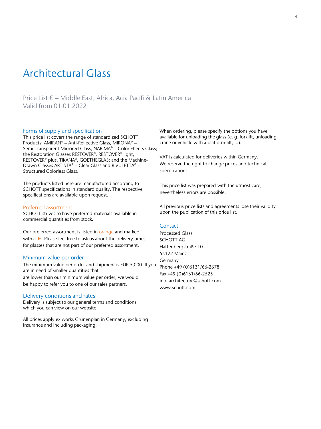### Architectural Glass

Price List € – Middle East, Africa, Acia Pacifi & Latin America Valid from 01.01.2022

#### Forms of supply and specification

This price list covers the range of standardized SCHOTT Products: AMIRAN® – Anti-Reflective Glass, MIRONA® – Semi-Transparent Mirrored Glass, NARIMA® – Color Effects Glass; the Restoration Glasses RESTOVER®, RESTOVER® light, RESTOVER<sup>®</sup> plus, TIKANA®, GOETHEGLAS; and the Machine-Drawn Glasses ARTISTA® – Clear Glass and RIVULETTA® – Structured Colorless Glass.

The products listed here are manufactured according to SCHOTT specifications in standard quality. The respective specifications are available upon request.

#### Preferred assortment

SCHOTT strives to have preferred materials available in commercial quantities from stock.

Our preferred assortment is listed in orange and marked with a ►. Please feel free to ask us about the delivery times for glasses that are not part of our preferred assortment.

#### Minimum value per order

The minimum value per order and shipment is EUR 5,000. If you are in need of smaller quantities that are lower than our minimum value per order, we would be happy to refer you to one of our sales partners.

#### Delivery conditions and rates

Delivery is subject to our general terms and conditions which you can view on our website.

All prices apply ex works Grünenplan in Germany, excluding insurance and including packaging.

When ordering, please specify the options you have available for unloading the glass (e. g. forklift, unloading crane or vehicle with a platform lift, …).

VAT is calculated for deliveries within Germany. We reserve the right to change prices and technical specifications.

This price list was prepared with the utmost care, nevertheless errors are possible.

All previous price lists and agreements lose their validity upon the publication of this price list.

#### **Contact**

Processed Glass SCHOTT AG Hattenbergstraße 10 55122 Mainz Germany Phone +49 (0)6131/66-2678 Fax +49 (0)6131/66-2525 info.architecture@schott.com www.schott.com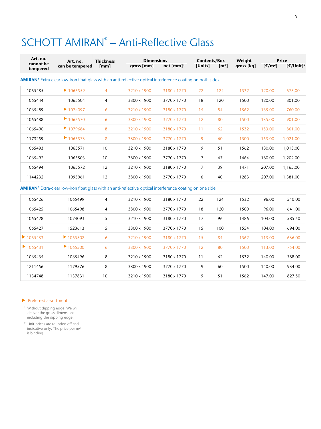# SCHOTT AMIRAN<sup>®</sup> - Anti-Reflective Glass

| Art. no.              | Art. no.                                                                                                                      | <b>Thickness</b> | <b>Dimensions</b> |                            |                | Contents/Box        |            | <b>Price</b> |                       |
|-----------------------|-------------------------------------------------------------------------------------------------------------------------------|------------------|-------------------|----------------------------|----------------|---------------------|------------|--------------|-----------------------|
| cannot be<br>tempered | can be tempered                                                                                                               | [mm]             | qross [mm]        | net ${\lceil mm \rceil}^1$ | [Units]        | $\lceil m^2 \rceil$ | gross [kg] | [ $€/m2$ ]   | [€/Unit] <sup>2</sup> |
|                       | <b>AMIRAN<sup>®</sup></b> Extra-clear low-iron float glass with an anti-reflective optical interference coating on both sides |                  |                   |                            |                |                     |            |              |                       |
| 1065485               | $\blacktriangleright$ 1065559                                                                                                 | $\overline{4}$   | 3210 x 1900       | 3180 x 1770                | 22             | 124                 | 1532       | 120.00       | 675,00                |
| 1065444               | 1065504                                                                                                                       | $\overline{4}$   | 3800 x 1900       | 3770 x 1770                | 18             | 120                 | 1500       | 120.00       | 801.00                |
| 1065489               | $\blacktriangleright$ 1074097                                                                                                 | 6                | 3210 x 1900       | 3180 x 1770                | 15             | 84                  | 1562       | 135.00       | 760.00                |
| 1065488               | 1065570                                                                                                                       | 6                | 3800 x 1900       | 3770 x 1770                | 12             | 80                  | 1500       | 135.00       | 901.00                |
| 1065490               | 1079684                                                                                                                       | 8                | 3210 x 1900       | 3180 x 1770                | 11             | 62                  | 1532       | 153.00       | 861.00                |
| 1173259               | 1065573                                                                                                                       | 8                | 3800 x 1900       | 3770 x 1770                | 9              | 60                  | 1500       | 153.00       | 1,021.00              |
| 1065493               | 1065571                                                                                                                       | 10               | 3210 x 1900       | 3180 x 1770                | 9              | 51                  | 1562       | 180.00       | 1,013.00              |
| 1065492               | 1065503                                                                                                                       | 10               | 3800 x 1900       | 3770 x 1770                | $\overline{7}$ | 47                  | 1464       | 180.00       | 1,202.00              |
| 1065494               | 1065572                                                                                                                       | 12               | 3210 x 1900       | 3180 x 1770                | $\overline{7}$ | 39                  | 1471       | 207.00       | 1,165.00              |
| 1144232               | 1095961                                                                                                                       | 12               | 3800 x 1900       | 3770 x 1770                | 6              | 40                  | 1283       | 207.00       | 1,381.00              |
|                       | <b>AMIRAN</b> ® Extra-clear low-iron float glass with an anti-reflective optical interference coating on one side             |                  |                   |                            |                |                     |            |              |                       |

### $\alpha$  glass with an anti-reflective optical interference coating  $\alpha$

| 1065426                       | 1065499                       | $\overline{4}$ | 3210 x 1900 | 3180 x 1770 | 22 | 124 | 1532 | 96.00  | 540.00 |
|-------------------------------|-------------------------------|----------------|-------------|-------------|----|-----|------|--------|--------|
| 1065425                       | 1065498                       | $\overline{4}$ | 3800 x 1900 | 3770 x 1770 | 18 | 120 | 1500 | 96.00  | 641.00 |
| 1065428                       | 1074093                       | 5              | 3210 x 1900 | 3180 x 1770 | 17 | 96  | 1486 | 104.00 | 585.50 |
| 1065427                       | 1523613                       | 5              | 3800 x 1900 | 3770 x 1770 | 15 | 100 | 1554 | 104.00 | 694.00 |
| 1065433                       | $\blacktriangleright$ 1065502 | 6              | 3210 x 1900 | 3180 x 1770 | 15 | 84  | 1562 | 113.00 | 636.00 |
| $\blacktriangleright$ 1065431 | 1065500                       | 6              | 3800 x 1900 | 3770 x 1770 | 12 | 80  | 1500 | 113.00 | 754.00 |
| 1065435                       | 1065496                       | 8              | 3210 x 1900 | 3180 x 1770 | 11 | 62  | 1532 | 140.00 | 788.00 |
| 1211456                       | 1179576                       | 8              | 3800 x 1900 | 3770 x 1770 | 9  | 60  | 1500 | 140.00 | 934.00 |
| 1134748                       | 1137831                       | 10             | 3210 x 1900 | 3180 x 1770 | 9  | 51  | 1562 | 147.00 | 827.50 |

#### **Preferred assortment**

<sup>1</sup> Without dipping edge. We will deliver the gross dimensions including the dipping edge.

<sup>2</sup> Unit prices are rounded off and indicative only. The price per m<sup>2</sup> is binding.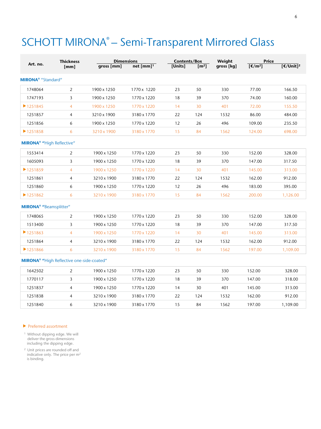# SCHOTT MIRONA® – Semi-Transparent Mirrored Glass

|                                             | <b>Thickness</b>                                            |             | <b>Dimensions</b>       |         | <b>Contents/Box</b> |            | Price                       |                                   |
|---------------------------------------------|-------------------------------------------------------------|-------------|-------------------------|---------|---------------------|------------|-----------------------------|-----------------------------------|
| Art. no.                                    | [mm]                                                        | gross [mm]  | $net [mm]$ <sup>1</sup> | [Units] | [m <sup>2</sup> ]   | gross [kg] | $[\mathsf{E}/\mathsf{m}^2]$ | $\sqrt{[\text{E}/\text{Unit}]}^2$ |
| <b>MIRONA®</b> "Standard"                   |                                                             |             |                         |         |                     |            |                             |                                   |
| 1748064                                     | 2                                                           | 1900 x 1250 | 1770 x 1220             | 23      | 50                  | 330        | 77.00                       | 166.50                            |
| 1747193                                     | 3                                                           | 1900 x 1250 | 1770 x 1220             | 18      | 39                  | 370        | 74.00                       | 160.00                            |
| ▶ 1251845                                   | 4                                                           | 1900 x 1250 | 1770 x 1220             | 14      | 30                  | 401        | 72.00                       | 155.50                            |
| 1251857                                     | 4                                                           | 3210 x 1900 | 3180 x 1770             | 22      | 124                 | 1532       | 86.00                       | 484.00                            |
| 1251856                                     | 6                                                           | 1900 x 1250 | 1770 x 1220             | 12      | 26                  | 496        | 109.00                      | 235.50                            |
| ▶ 1251858                                   | 6                                                           | 3210 x 1900 | 3180 x 1770             | 15      | 84                  | 1562       | 124.00                      | 698.00                            |
| <b>MIRONA<sup>®</sup></b> "High Reflective" |                                                             |             |                         |         |                     |            |                             |                                   |
| 1553414                                     | 2                                                           | 1900 x 1250 | 1770 x 1220             | 23      | 50                  | 330        | 152.00                      | 328.00                            |
| 1605093                                     | 3                                                           | 1900 x 1250 | 1770 x 1220             | 18      | 39                  | 370        | 147.00                      | 317.50                            |
| ▶1251859                                    | 4                                                           | 1900 x 1250 | 1770 x 1220             | 14      | 30                  | 401        | 145.00                      | 313.00                            |
| 1251861                                     | $\overline{4}$                                              | 3210 x 1900 | 3180 x 1770             | 22      | 124                 | 1532       | 162.00                      | 912.00                            |
| 1251860                                     | 6                                                           | 1900 x 1250 | 1770 x 1220             | 12      | 26                  | 496        | 183.00                      | 395.00                            |
| ▶ 1251862                                   | 6                                                           | 3210 x 1900 | 3180 x 1770             | 15      | 84                  | 1562       | 200.00                      | 1,126.00                          |
| <b>MIRONA<sup>®</sup></b> "Beamsplitter"    |                                                             |             |                         |         |                     |            |                             |                                   |
| 1748065                                     | 2                                                           | 1900 x 1250 | 1770 x 1220             | 23      | 50                  | 330        | 152.00                      | 328.00                            |
| 1513400                                     | 3                                                           | 1900 x 1250 | 1770 x 1220             | 18      | 39                  | 370        | 147.00                      | 317.50                            |
| 1251863                                     | $\overline{4}$                                              | 1900 x 1250 | 1770 x 1220             | 14      | 30                  | 401        | 145.00                      | 313.00                            |
| 1251864                                     | $\overline{4}$                                              | 3210 x 1900 | 3180 x 1770             | 22      | 124                 | 1532       | 162.00                      | 912.00                            |
| ▶1251866                                    | 6                                                           | 3210 x 1900 | 3180 x 1770             | 15      | 84                  | 1562       | 197.00                      | 1,109.00                          |
|                                             | <b>MIRONA<sup>®</sup></b> "High Reflective one-side-coated" |             |                         |         |                     |            |                             |                                   |
| 1642502                                     | 2                                                           | 1900 x 1250 | 1770 x 1220             | 23      | 50                  | 330        | 152.00                      | 328.00                            |
| 1770117                                     | 3                                                           | 1900 x 1250 | 1770 x 1220             | 18      | 39                  | 370        | 147.00                      | 318.00                            |
| 1251837                                     | 4                                                           | 1900 x 1250 | 1770 x 1220             | 14      | 30                  | 401        | 145.00                      | 313.00                            |
| 1251838                                     | 4                                                           | 3210 x 1900 | 3180 x 1770             | 22      | 124                 | 1532       | 162.00                      | 912.00                            |
| 1251840                                     | 6                                                           | 3210 x 1900 | 3180 x 1770             | 15      | 84                  | 1562       | 197.00                      | 1,109.00                          |

#### Preferred assortment

<sup>1</sup> Without dipping edge. We will deliver the gross dimensions including the dipping edge.

<sup>2</sup> Unit prices are rounded off and indicative only. The price per m<sup>2</sup> is binding.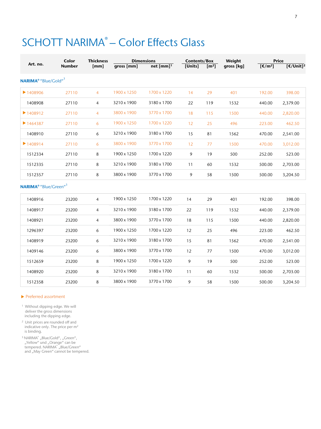# SCHOTT NARIMA® - Color Effects Glass

|                                              | Color<br><b>Thickness</b> |                |             | <b>Dimensions</b>       |         | Contents/Box      | Weight     | <b>Price</b>            |                                     |
|----------------------------------------------|---------------------------|----------------|-------------|-------------------------|---------|-------------------|------------|-------------------------|-------------------------------------|
| Art. no.                                     | <b>Number</b>             | [mm]           | qross [mm]  | $net [mm]$ <sup>1</sup> | [Units] | [m <sup>2</sup> ] | gross [kg] | $\sqrt{(\epsilon/m^2)}$ | $\sqrt{[\epsilon / \text{Unit}]^2}$ |
| NARIMA <sup>®</sup> "Blue/Gold" <sup>3</sup> |                           |                |             |                         |         |                   |            |                         |                                     |
| $\blacktriangleright$ 1408906                | 27110                     | $\overline{4}$ | 1900 x 1250 | 1700 x 1220             | 14      | 29                | 401        | 192.00                  | 398.00                              |
| 1408908                                      | 27110                     | $\overline{4}$ | 3210 x 1900 | 3180 x 1700             | 22      | 119               | 1532       | 440.00                  | 2,379.00                            |
| ▶ 1408912                                    | 27110                     | $\overline{4}$ | 3800 x 1900 | 3770 x 1700             | 18      | 115               | 1500       | 440.00                  | 2,820.00                            |
| $\blacktriangleright$ 1464387                | 27110                     | 6              | 1900 x 1250 | 1700 x 1220             | 12      | 25                | 496        | 223.00                  | 462.50                              |
| 1408910                                      | 27110                     | 6              | 3210 x 1900 | 3180 x 1700             | 15      | 81                | 1562       | 470.00                  | 2,541.00                            |
| 1408914                                      | 27110                     | 6              | 3800 x 1900 | 3770 x 1700             | 12      | 77                | 1500       | 470.00                  | 3,012.00                            |
| 1512334                                      | 27110                     | 8              | 1900 x 1250 | 1700 x 1220             | 9       | 19                | 500        | 252.00                  | 523.00                              |
| 1512335                                      | 27110                     | 8              | 3210 x 1900 | 3180 x 1700             | 11      | 60                | 1532       | 500.00                  | 2,703.00                            |
| 1512357                                      | 27110                     | 8              | 3800 x 1900 | 3770 x 1700             | 9       | 58                | 1500       | 500.00                  | 3,204.50                            |
| <b>NARIMA®</b> "Blue/Green" <sup>3</sup>     |                           |                |             |                         |         |                   |            |                         |                                     |
| 1408916                                      | 23200                     | $\overline{4}$ | 1900 x 1250 | 1700 x 1220             | 14      | 29                | 401        | 192.00                  | 398.00                              |
| 1408917                                      | 23200                     | $\overline{4}$ | 3210 x 1900 | 3180 x 1700             | 22      | 119               | 1532       | 440.00                  | 2,379.00                            |
| 1408921                                      | 23200                     | 4              | 3800 x 1900 | 3770 x 1700             | 18      | 115               | 1500       | 440.00                  | 2,820.00                            |
| 1296397                                      | 23200                     | 6              | 1900 x 1250 | 1700 x 1220             | 12      | 25                | 496        | 223.00                  | 462.50                              |
| 1408919                                      | 23200                     | 6              | 3210 x 1900 | 3180 x 1700             | 15      | 81                | 1562       | 470.00                  | 2,541.00                            |
| 1409146                                      | 23200                     | 6              | 3800 x 1900 | 3770 x 1700             | 12      | 77                | 1500       | 470.00                  | 3,012.00                            |
| 1512659                                      | 23200                     | 8              | 1900 x 1250 | 1700 x 1220             | 9       | 19                | 500        | 252.00                  | 523.00                              |
| 1408920                                      | 23200                     | 8              | 3210 x 1900 | 3180 x 1700             | 11      | 60                | 1532       | 500.00                  | 2,703.00                            |
| 1512358                                      | 23200                     | 8              | 3800 x 1900 | 3770 x 1700             | 9       | 58                | 1500       | 500.00                  | 3,204.50                            |

#### Preferred assortment

<sup>1</sup> Without dipping edge. We will deliver the gross dimensions including the dipping edge.

<sup>2</sup> Unit prices are rounded off and indicative only. The price per m<sup>2</sup> is binding.

<sup>3</sup> NARIMA®, Blue/Gold", "Green", "Yellow" und "Orange" can be<br>tempered. NARIMA® "Blue/Green" and "May Green" cannot be tempered.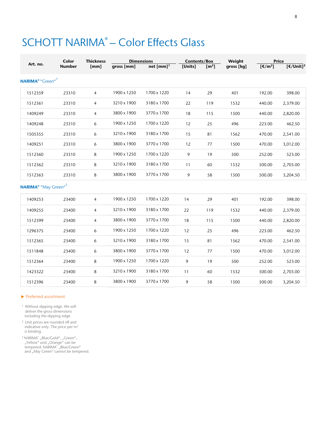# SCHOTT NARIMA® - Color Effects Glass

|                                                    | Color         | <b>Thickness</b> | <b>Dimensions</b> |                         | <b>Contents/Box</b> |                   | Weight     | <b>Price</b>                   |                                   |
|----------------------------------------------------|---------------|------------------|-------------------|-------------------------|---------------------|-------------------|------------|--------------------------------|-----------------------------------|
| Art. no.                                           | <b>Number</b> | [mm]             | gross [mm]        | net $[mm]$ <sup>1</sup> | [Units]             | [m <sup>2</sup> ] | gross [kg] | $\sqrt{[\text{f}/\text{m}^2]}$ | $\sqrt{[\text{E}/\text{Unit}]^2}$ |
| NARIMA <sup>®</sup> "Green" <sup>3</sup>           |               |                  |                   |                         |                     |                   |            |                                |                                   |
| 1512359                                            | 23310         | $\overline{4}$   | 1900 x 1250       | 1700 x 1220             | 14                  | 29                | 401        | 192.00                         | 398.00                            |
| 1512361                                            | 23310         | 4                | 3210 x 1900       | 3180 x 1700             | 22                  | 119               | 1532       | 440.00                         | 2,379.00                          |
| 1409249                                            | 23310         | $\overline{4}$   | 3800 x 1900       | 3770 x 1700             | 18                  | 115               | 1500       | 440.00                         | 2,820.00                          |
| 1409248                                            | 23310         | 6                | 1900 x 1250       | 1700 x 1220             | 12                  | 25                | 496        | 223.00                         | 462.50                            |
| 1505355                                            | 23310         | 6                | 3210 x 1900       | 3180 x 1700             | 15                  | 81                | 1562       | 470.00                         | 2,541.00                          |
| 1409251                                            | 23310         | 6                | 3800 x 1900       | 3770 x 1700             | 12                  | 77                | 1500       | 470.00                         | 3,012.00                          |
| 1512360                                            | 23310         | 8                | 1900 x 1250       | 1700 x 1220             | 9                   | 19                | 500        | 252.00                         | 523.00                            |
| 1512362                                            | 23310         | 8                | 3210 x 1900       | 3180 x 1700             | 11                  | 60                | 1532       | 500.00                         | 2,703.00                          |
| 1512363                                            | 23310         | 8                | 3800 x 1900       | 3770 x 1700             | 9                   | 58                | 1500       | 500.00                         | 3,204.50                          |
| <b>NARIMA<sup>®</sup></b> "May Green" <sup>3</sup> |               |                  |                   |                         |                     |                   |            |                                |                                   |
| 1409253                                            | 23400         | $\overline{4}$   | 1900 x 1250       | 1700 x 1220             | 14                  | 29                | 401        | 192.00                         | 398.00                            |
| 1409255                                            | 23400         | $\overline{4}$   | 3210 x 1900       | 3180 x 1700             | 22                  | 119               | 1532       | 440.00                         | 2,379.00                          |
| 1512399                                            | 23400         | $\overline{4}$   | 3800 x 1900       | 3770 x 1700             | 18                  | 115               | 1500       | 440.00                         | 2,820.00                          |
| 1296375                                            | 23400         | 6                | 1900 x 1250       | 1700 x 1220             | 12                  | 25                | 496        | 223.00                         | 462.50                            |
| 1512365                                            | 23400         | 6                | 3210 x 1900       | 3180 x 1700             | 15                  | 81                | 1562       | 470.00                         | 2,541.00                          |
| 1511848                                            | 23400         | 6                | 3800 x 1900       | 3770 x 1700             | 12                  | 77                | 1500       | 470.00                         | 3,012.00                          |
| 1512364                                            | 23400         | 8                | 1900 x 1250       | 1700 x 1220             | 9                   | 19                | 500        | 252.00                         | 523.00                            |
| 1423322                                            | 23400         | 8                | 3210 x 1900       | 3180 x 1700             | 11                  | 60                | 1532       | 500.00                         | 2,703.00                          |
| 1512396                                            | 23400         | 8                | 3800 x 1900       | 3770 x 1700             | 9                   | 58                | 1500       | 500.00                         | 3,204.50                          |

#### Preferred assortment

<sup>1</sup> Without dipping edge. We will deliver the gross dimensions including the dipping edge.

<sup>2</sup> Unit prices are rounded off and indicative only. The price per  $m<sup>2</sup>$ is binding.

<sup>3</sup> NARIMA®, Blue/Gold", "Green", "Yellow" und "Orange" can be<br>tempered. NARIMA® "Blue/Green" and "May Green" cannot be tempered.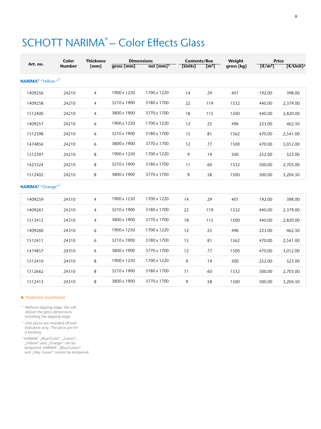# SCHOTT NARIMA® - Color Effects Glass

| Art. no.                                         | Color<br><b>Number</b> | <b>Thickness</b><br>[mm] | qross [mm]  | <b>Dimensions</b><br>$net$ [mm] <sup>1</sup> | <b>Contents/Box</b><br>[Units] | $\sqrt{m^2}$ | Weight<br>gross [kg] | $[\mathsf{E}/\mathsf{m}^2]$ | <b>Price</b><br>$\sqrt{[\epsilon/U_{\text{init}}]^2}$ |
|--------------------------------------------------|------------------------|--------------------------|-------------|----------------------------------------------|--------------------------------|--------------|----------------------|-----------------------------|-------------------------------------------------------|
| <b>NARIMA<sup>®</sup></b> "Yellow " <sup>3</sup> |                        |                          |             |                                              |                                |              |                      |                             |                                                       |
| 1409256                                          | 24210                  | $\overline{4}$           | 1900 x 1250 | 1700 x 1220                                  | 14                             | 29           | 401                  | 192.00                      | 398.00                                                |
| 1409258                                          | 24210                  | 4                        | 3210 x 1900 | 3180 x 1700                                  | 22                             | 119          | 1532                 | 440.00                      | 2,379.00                                              |
| 1512400                                          | 24210                  | $\overline{4}$           | 3800 x 1900 | 3770 x 1700                                  | 18                             | 115          | 1500                 | 440.00                      | 2,820.00                                              |
| 1409257                                          | 24210                  | 6                        | 1900 x 1250 | 1700 x 1220                                  | 12                             | 25           | 496                  | 223.00                      | 462.50                                                |
| 1512398                                          | 24210                  | 6                        | 3210 x 1900 | 3180 x 1700                                  | 15                             | 81           | 1562                 | 470.00                      | 2,541.00                                              |
| 1474856                                          | 24210                  | 6                        | 3800 x 1900 | 3770 x 1700                                  | 12                             | 77           | 1500                 | 470.00                      | 3,012.00                                              |
| 1512397                                          | 24210                  | 8                        | 1900 x 1250 | 1700 x 1220                                  | 9                              | 19           | 500                  | 252.00                      | 523.00                                                |
| 1423324                                          | 24210                  | 8                        | 3210 x 1900 | 3180 x 1700                                  | 11                             | 60           | 1532                 | 500.00                      | 2,703.00                                              |
| 1512402                                          | 24210                  | 8                        | 3800 x 1900 | 3770 x 1700                                  | 9                              | 58           | 1500                 | 500.00                      | 3,204.50                                              |
| NARIMA <sup>®</sup> "Orange" <sup>3</sup>        |                        |                          |             |                                              |                                |              |                      |                             |                                                       |
| 1409259                                          | 24310                  | $\overline{4}$           | 1900 x 1250 | 1700 x 1220                                  | 14                             | 29           | 401                  | 192.00                      | 398.00                                                |
| 1409261                                          | 24310                  | 4                        | 3210 x 1900 | 3180 x 1700                                  | 22                             | 119          | 1532                 | 440.00                      | 2,379.00                                              |
| 1512412                                          | 24310                  | $\overline{4}$           | 3800 x 1900 | 3770 x 1700                                  | 18                             | 115          | 1500                 | 440.00                      | 2,820.00                                              |
| 1409260                                          | 24310                  | 6                        | 1900 x 1250 | 1700 x 1220                                  | 12                             | 25           | 496                  | 223.00                      | 462.50                                                |
| 1512411                                          | 24310                  | 6                        | 3210 x 1900 | 3180 x 1700                                  | 15                             | 81           | 1562                 | 470.00                      | 2,541.00                                              |
| 1474857                                          | 24310                  | 6                        | 3800 x 1900 | 3770 x 1700                                  | 12                             | 77           | 1500                 | 470.00                      | 3,012.00                                              |
| 1512410                                          | 24310                  | 8                        | 1900 x 1250 | 1700 x 1220                                  | 9                              | 19           | 500                  | 252.00                      | 523.00                                                |
| 1512662                                          | 24310                  | 8                        | 3210 x 1900 | 3180 x 1700                                  | 11                             | 60           | 1532                 | 500.00                      | 2,703.00                                              |
| 1512413                                          | 24310                  | 8                        | 3800 x 1900 | 3770 x 1700                                  | 9                              | 58           | 1500                 | 500.00                      | 3,204.50                                              |

#### Preferred assortment

<sup>1</sup> Without dipping edge. We will deliver the gross dimensions including the dipping edge.

<sup>2</sup> Unit prices are rounded off and indicative only. The price per m<sup>2</sup> is binding.

 $3$  NARIMA $^{\circ}$  "Blue/Gold", "Green", "Yellow" und "Orange" can be<br>tempered. NARIMA® "Blue/Green" and "May Green" cannot be tempered.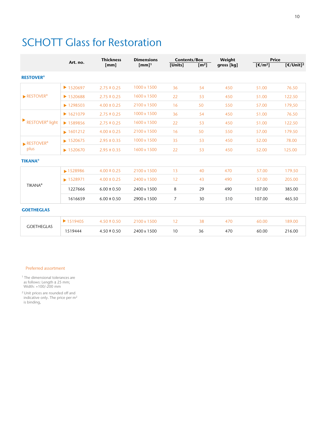## SCHOTT Glass for Restoration

|                                             | Art. no.                      | <b>Thickness</b> | <b>Dimensions</b>   | <b>Contents/Box</b> |                   | Weight     | <b>Price</b>                |                       |
|---------------------------------------------|-------------------------------|------------------|---------------------|---------------------|-------------------|------------|-----------------------------|-----------------------|
|                                             |                               | [mm]             | $[mm]$ <sup>1</sup> | [Units]             | [m <sup>2</sup> ] | gross [kg] | $[\mathsf{E}/\mathsf{m}^2]$ | [€/Unit] <sup>2</sup> |
| <b>RESTOVER<sup>®</sup></b>                 |                               |                  |                     |                     |                   |            |                             |                       |
|                                             | $\blacktriangleright$ 1520697 | $2.75 \pm 0.25$  | 1000 x 1500         | 36                  | 54                | 450        | 51.00                       | 76.50                 |
| $\blacktriangleright$ RESTOVER <sup>®</sup> | $\blacktriangleright$ 1520688 | $2.75 \pm 0.25$  | 1600 x 1500         | 22                  | 53                | 450        | 51.00                       | 122.50                |
|                                             | $\blacktriangleright$ 1298503 | $4.00 \pm 0.25$  | 2100 x 1500         | 16                  | 50                | 550        | 57.00                       | 179,50                |
|                                             | $\blacktriangleright$ 1621079 | $2.75 \pm 0.25$  | 1000 x 1500         | 36                  | 54                | 450        | 51.00                       | 76.50                 |
| RESTOVER <sup>®</sup> light                 | ▶ 1589856                     | $2.75 \pm 0.25$  | 1600 x 1500         | 22                  | 53                | 450        | 51.00                       | 122.50                |
|                                             | $\blacktriangleright$ 1601212 | $4.00 \pm 0.25$  | 2100 x 1500         | 16                  | 50                | 550        | 57.00                       | 179.50                |
| $\blacktriangleright$ RESTOVER®             | $\blacktriangleright$ 1520675 | $2.95 \pm 0.35$  | 1000 x 1500         | 35                  | 53                | 450        | 52.00                       | 78.00                 |
| plus                                        | $\blacktriangleright$ 1520670 | $2.95 \pm 0.35$  | 1600 x 1500         | 22                  | 53                | 450        | 52.00                       | 125.00                |
| <b>TIKANA®</b>                              |                               |                  |                     |                     |                   |            |                             |                       |
|                                             | ▶ 1528986                     | $4.00 \pm 0.25$  | 2100 x 1500         | 13                  | 40                | 470        | 57.00                       | 179.50                |
|                                             | ▶ 1528971                     | $4.00 \pm 0.25$  | 2400 x 1500         | 12                  | 43                | 490        | 57.00                       | 205.00                |
| <b>TIKANA®</b>                              | 1227666                       | $6.00 \pm 0.50$  | 2400 x 1500         | 8                   | 29                | 490        | 107.00                      | 385.00                |
|                                             | 1616659                       | $6.00 \pm 0.50$  | 2900 x 1500         | $\overline{7}$      | 30                | 510        | 107.00                      | 465.50                |
| <b>GOETHEGLAS</b>                           |                               |                  |                     |                     |                   |            |                             |                       |
|                                             | $\blacktriangleright$ 1519405 | $4.50 \pm 0.50$  | 2100 x 1500         | 12                  | 38                | 470        | 60.00                       | 189.00                |
| <b>GOETHEGLAS</b>                           | 1519444                       | $4.50 \pm 0.50$  | 2400 x 1500         | 10                  | 36                | 470        | 60.00                       | 216.00                |

#### Preferred assortment

<sup>1</sup> The dimensional tolerances are as follows: Length ± 25 mm; Width: +100/-200 mm

<sup>2</sup> Unit prices are rounded off and indicative only. The price per m<sup>2</sup> is binding,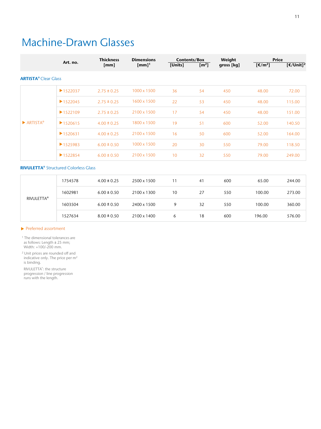### Machine-Drawn Glasses

|                                                               | Art. no.                                     | <b>Thickness</b> | <b>Dimensions</b>   | <b>Contents/Box</b> |                           | Weight     | <b>Price</b>            |                       |
|---------------------------------------------------------------|----------------------------------------------|------------------|---------------------|---------------------|---------------------------|------------|-------------------------|-----------------------|
|                                                               |                                              | [mm]             | $[mm]$ <sup>1</sup> | [Units]             | $\left[\text{m}^2\right]$ | gross [kg] | $\sqrt{(\epsilon/m^2)}$ | [€/Unit] <sup>2</sup> |
|                                                               |                                              |                  |                     |                     |                           |            |                         |                       |
| <b>ARTISTA®</b> Clear Glass<br>$\blacktriangleright$ ARTISTA® | $\blacktriangleright$ 1522037                | $2.75 \pm 0.25$  | 1000 x 1500         | 36                  | 54                        | 450        | 48.00                   | 72.00                 |
|                                                               | $\blacktriangleright$ 1522045                | $2.75 \pm 0.25$  | 1600 x 1500         | 22                  | 53                        | 450        | 48.00                   | 115.00                |
|                                                               | $\blacktriangleright$ 1522109                | $2.75 \pm 0.25$  | 2100 x 1500         | 17                  | 54                        | 450        | 48.00                   | 151.00                |
|                                                               | $\blacktriangleright$ 1520615                | $4.00 \pm 0.25$  | 1800 x 1500         | 19                  | 51                        | 600        | 52.00                   | 140.50                |
|                                                               | $\blacktriangleright$ 1520631                | $4.00 \pm 0.25$  | 2100 x 1500         | 16                  | 50                        | 600        | 52.00                   | 164.00                |
|                                                               | $\blacktriangleright$ 1525983                | $6.00 \pm 0.50$  | 1000 x 1500         | 20                  | 30                        | 550        | 79.00                   | 118.50                |
|                                                               | ▶1522854                                     | $6.00 \pm 0.50$  | 2100 x 1500         | 10                  | 32                        | 550        | 79.00                   | 249.00                |
|                                                               | <b>RIVULETTA®</b> Structured Colorless Glass |                  |                     |                     |                           |            |                         |                       |
|                                                               | 1754578                                      | $4.00 \pm 0.25$  | 2500 x 1500         | 11                  | 41                        | 600        | 65.00                   | 244.00                |
|                                                               | 1602981                                      | $6.00 \pm 0.50$  | 2100 x 1300         | 10                  | 27                        | 550        | 100.00                  | 273.00                |
| <b>RIVULETTA®</b>                                             | 1603504                                      | $6.00 \pm 0.50$  | 2400 x 1500         | 9                   | 32                        | 550        | 100.00                  | 360.00                |
|                                                               | 1527634                                      | $8.00 \pm 0.50$  | 2100 x 1400         | 6                   | 18                        | 600        | 196.00                  | 576.00                |

#### Preferred assortment

<sup>1</sup> The dimensional tolerances are as follows: Length ± 25 mm; Width: +100/-200 mm.

<sup>2</sup> Unit prices are rounded off and indicative only. The price per  $m<sup>2</sup>$ is binding.

RIVULETTA® : the structure progression / line progression runs with the length.